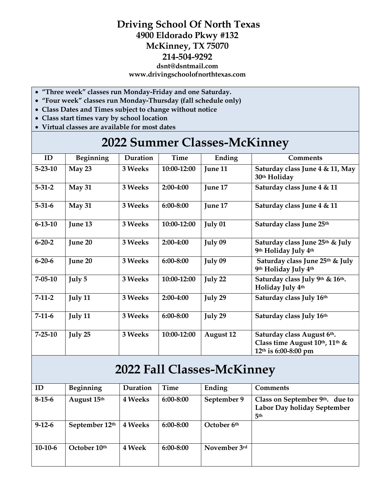## **Driving School Of North Texas 4900 Eldorado Pkwy #132 McKinney, TX 75070 214-504-9292 dsnt@dsntmail.com www.drivingschoolofnorthtexas.com**

- **"Three week" classes run Monday-Friday and one Saturday.**
- **"Four week" classes run Monday-Thursday (fall schedule only)**
- **Class Dates and Times subject to change without notice**
- **Class start times vary by school location**
- **Virtual classes are available for most dates**

## **2022 Summer Classes-McKinney**

| ID            | Beginning | Duration | <b>Time</b> | Ending           | <b>Comments</b>                                                                        |
|---------------|-----------|----------|-------------|------------------|----------------------------------------------------------------------------------------|
| $5 - 23 - 10$ | May 23    | 3 Weeks  | 10:00-12:00 | June 11          | Saturday class June 4 & 11, May<br>30th Holiday                                        |
| $5 - 31 - 2$  | May 31    | 3 Weeks  | 2:00-4:00   | June 17          | Saturday class June 4 & 11                                                             |
| $5 - 31 - 6$  | May 31    | 3 Weeks  | 6:00-8:00   | June 17          | Saturday class June 4 & 11                                                             |
| $6 - 13 - 10$ | June 13   | 3 Weeks  | 10:00-12:00 | July 01          | Saturday class June 25th                                                               |
| $6 - 20 - 2$  | June 20   | 3 Weeks  | $2:00-4:00$ | July 09          | Saturday class June 25th & July<br>9th Holiday July 4th                                |
| $6 - 20 - 6$  | June 20   | 3 Weeks  | 6:00-8:00   | July 09          | Saturday class June 25th & July<br>9th Holiday July 4th                                |
| $7 - 05 - 10$ | July 5    | 3 Weeks  | 10:00-12:00 | July 22          | Saturday class July 9th & 16th.<br>Holiday July 4th                                    |
| $7-11-2$      | July 11   | 3 Weeks  | $2:00-4:00$ | July 29          | Saturday class July 16th                                                               |
| $7-11-6$      | July 11   | 3 Weeks  | 6:00-8:00   | July 29          | Saturday class July 16th                                                               |
| $7 - 25 - 10$ | July 25   | 3 Weeks  | 10:00-12:00 | <b>August 12</b> | Saturday class August 6th.<br>Class time August 10th, 11th &<br>$12th$ is 6:00-8:00 pm |

## **2022 Fall Classes-McKinney**

| ID        | Beginning      | Duration       | Time          | Ending       | <b>Comments</b>                                                                  |
|-----------|----------------|----------------|---------------|--------------|----------------------------------------------------------------------------------|
| $8-15-6$  | August 15th    | <b>4 Weeks</b> | $6:00 - 8:00$ | September 9  | Class on September 9th. due to<br>Labor Day holiday September<br>5 <sup>th</sup> |
| $9-12-6$  | September 12th | <b>4 Weeks</b> | $6:00 - 8:00$ | October 6th  |                                                                                  |
| $10-10-6$ | October 10th   | <b>4 Week</b>  | $6:00 - 8:00$ | November 3rd |                                                                                  |